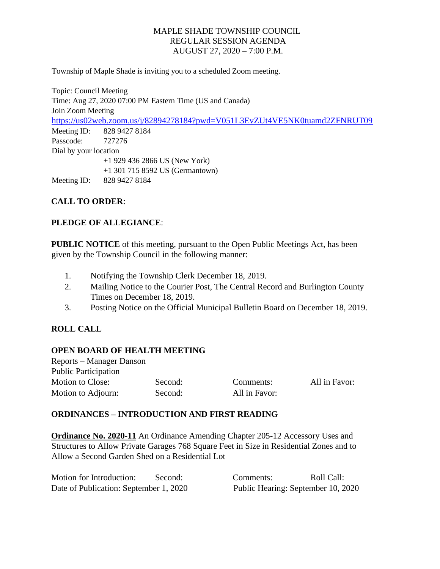Township of Maple Shade is inviting you to a scheduled Zoom meeting.

Topic: Council Meeting Time: Aug 27, 2020 07:00 PM Eastern Time (US and Canada) Join Zoom Meeting <https://us02web.zoom.us/j/82894278184?pwd=V051L3EvZUt4VE5NK0tuamd2ZFNRUT09> Meeting ID: 828 9427 8184 Passcode: 727276 Dial by your location +1 929 436 2866 US (New York) +1 301 715 8592 US (Germantown) Meeting ID: 828 9427 8184

# **CALL TO ORDER**:

## **PLEDGE OF ALLEGIANCE**:

**PUBLIC NOTICE** of this meeting, pursuant to the Open Public Meetings Act, has been given by the Township Council in the following manner:

- 1. Notifying the Township Clerk December 18, 2019.
- 2. Mailing Notice to the Courier Post, The Central Record and Burlington County Times on December 18, 2019.
- 3. Posting Notice on the Official Municipal Bulletin Board on December 18, 2019.

## **ROLL CALL**

#### **OPEN BOARD OF HEALTH MEETING**

Reports – Manager Danson Public Participation Motion to Close: Second: Comments: All in Favor: Motion to Adjourn: Second: All in Favor:

## **ORDINANCES – INTRODUCTION AND FIRST READING**

**Ordinance No. 2020-11** An Ordinance Amending Chapter 205-12 Accessory Uses and Structures to Allow Private Garages 768 Square Feet in Size in Residential Zones and to Allow a Second Garden Shed on a Residential Lot

| Motion for Introduction:               | Second: | Comments: | Roll Call:                         |
|----------------------------------------|---------|-----------|------------------------------------|
| Date of Publication: September 1, 2020 |         |           | Public Hearing: September 10, 2020 |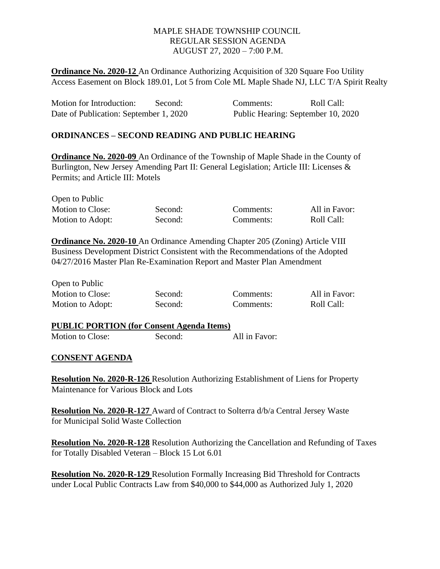**Ordinance No. 2020-12** An Ordinance Authorizing Acquisition of 320 Square Foo Utility Access Easement on Block 189.01, Lot 5 from Cole ML Maple Shade NJ, LLC T/A Spirit Realty

| Motion for Introduction:               | Second: | Comments:                          | Roll Call: |
|----------------------------------------|---------|------------------------------------|------------|
| Date of Publication: September 1, 2020 |         | Public Hearing: September 10, 2020 |            |

## **ORDINANCES – SECOND READING AND PUBLIC HEARING**

**Ordinance No. 2020-09** An Ordinance of the Township of Maple Shade in the County of Burlington, New Jersey Amending Part II: General Legislation; Article III: Licenses & Permits; and Article III: Motels

| Open to Public   |         |           |               |
|------------------|---------|-----------|---------------|
| Motion to Close: | Second: | Comments: | All in Favor: |
| Motion to Adopt: | Second: | Comments: | Roll Call:    |

**Ordinance No. 2020-10** An Ordinance Amending Chapter 205 (Zoning) Article VIII Business Development District Consistent with the Recommendations of the Adopted 04/27/2016 Master Plan Re-Examination Report and Master Plan Amendment

| Motion to Close: | Second: | Comments: | All in Favor: |
|------------------|---------|-----------|---------------|
| Motion to Adopt: | Second: | Comments: | Roll Call:    |

| <b>PUBLIC PORTION (for Consent Agenda Items)</b> |         |               |  |
|--------------------------------------------------|---------|---------------|--|
| <b>Motion to Close:</b>                          | Second: | All in Favor: |  |

#### **CONSENT AGENDA**

Open to Public

**Resolution No. 2020-R-126** Resolution Authorizing Establishment of Liens for Property Maintenance for Various Block and Lots

**Resolution No. 2020-R-127** Award of Contract to Solterra d/b/a Central Jersey Waste for Municipal Solid Waste Collection

**Resolution No. 2020-R-128** Resolution Authorizing the Cancellation and Refunding of Taxes for Totally Disabled Veteran – Block 15 Lot 6.01

**Resolution No. 2020-R-129** Resolution Formally Increasing Bid Threshold for Contracts under Local Public Contracts Law from \$40,000 to \$44,000 as Authorized July 1, 2020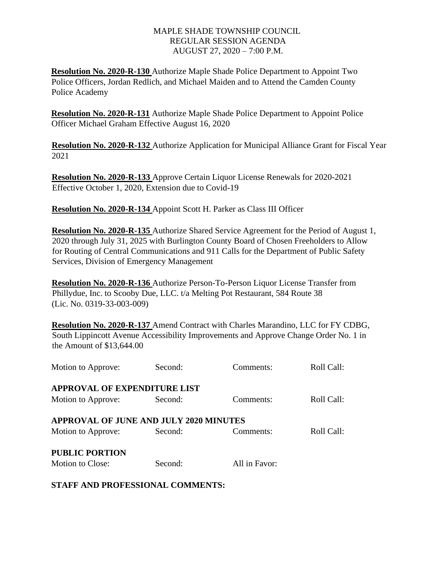**Resolution No. 2020-R-130** Authorize Maple Shade Police Department to Appoint Two Police Officers, Jordan Redlich, and Michael Maiden and to Attend the Camden County Police Academy

**Resolution No. 2020-R-131** Authorize Maple Shade Police Department to Appoint Police Officer Michael Graham Effective August 16, 2020

**Resolution No. 2020-R-132** Authorize Application for Municipal Alliance Grant for Fiscal Year 2021

**Resolution No. 2020-R-133** Approve Certain Liquor License Renewals for 2020-2021 Effective October 1, 2020, Extension due to Covid-19

**Resolution No. 2020-R-134** Appoint Scott H. Parker as Class III Officer

**Resolution No. 2020-R-135** Authorize Shared Service Agreement for the Period of August 1, 2020 through July 31, 2025 with Burlington County Board of Chosen Freeholders to Allow for Routing of Central Communications and 911 Calls for the Department of Public Safety Services, Division of Emergency Management

**Resolution No. 2020-R-136** Authorize Person-To-Person Liquor License Transfer from Phillydue, Inc. to Scooby Due, LLC. t/a Melting Pot Restaurant, 584 Route 38 (Lic. No. 0319-33-003-009)

**Resolution No. 2020-R-137** Amend Contract with Charles Marandino, LLC for FY CDBG, South Lippincott Avenue Accessibility Improvements and Approve Change Order No. 1 in the Amount of \$13,644.00

| Motion to Approve:                            | Second: | Comments:     | Roll Call: |
|-----------------------------------------------|---------|---------------|------------|
| <b>APPROVAL OF EXPENDITURE LIST</b>           |         |               |            |
| Motion to Approve:                            | Second: | Comments:     | Roll Call: |
| <b>APPROVAL OF JUNE AND JULY 2020 MINUTES</b> |         |               |            |
| Motion to Approve:                            | Second: | Comments:     | Roll Call: |
| <b>PUBLIC PORTION</b>                         |         |               |            |
| Motion to Close:                              | Second: | All in Favor: |            |

**STAFF AND PROFESSIONAL COMMENTS:**